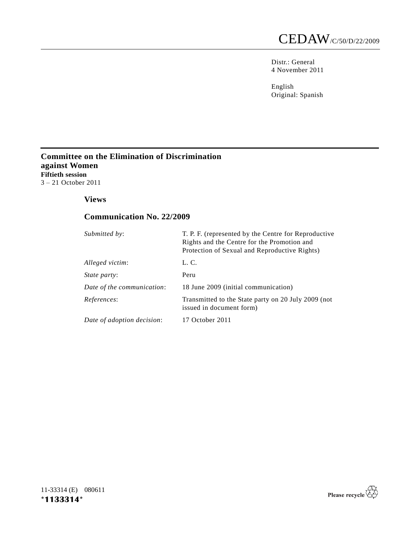Distr.: General 4 November 2011

English Original: Spanish

## **Committee on the Elimination of Discrimination against Women Fiftieth session** 3 – 21 October 2011

## **Views**

# **Communication No. 22/2009**

| Submitted by:              | T. P. F. (represented by the Centre for Reproductive<br>Rights and the Centre for the Promotion and<br>Protection of Sexual and Reproductive Rights) |
|----------------------------|------------------------------------------------------------------------------------------------------------------------------------------------------|
| Alleged victim:            | L. C.                                                                                                                                                |
| <i>State party:</i>        | Peru                                                                                                                                                 |
| Date of the communication: | 18 June 2009 (initial communication)                                                                                                                 |
| References:                | Transmitted to the State party on 20 July 2009 (not<br>issued in document form)                                                                      |
| Date of adoption decision: | 17 October 2011                                                                                                                                      |

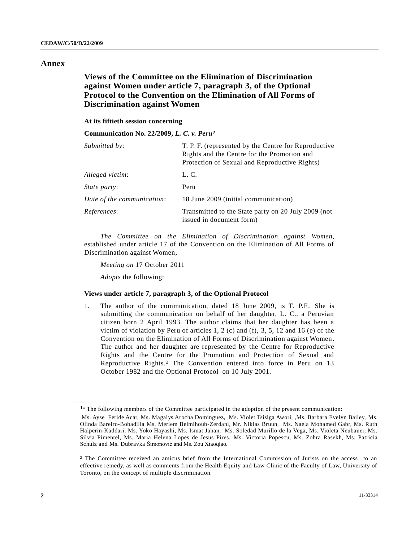### **Annex**

## **Views of the Committee on the Elimination of Discrimination against Women under article 7, paragraph 3, of the Optional Protocol to the Convention on the Elimination of All Forms of Discrimination against Women**

#### **At its fiftieth session concerning**

**Communication No. 22/2009,** *L. C. v. Peru1*

| Submitted by:              | T. P. F. (represented by the Centre for Reproductive<br>Rights and the Centre for the Promotion and<br>Protection of Sexual and Reproductive Rights) |
|----------------------------|------------------------------------------------------------------------------------------------------------------------------------------------------|
| Alleged victim:            | L. C.                                                                                                                                                |
| <i>State party:</i>        | Peru                                                                                                                                                 |
| Date of the communication: | 18 June 2009 (initial communication)                                                                                                                 |
| References:                | Transmitted to the State party on 20 July 2009 (not<br>issued in document form)                                                                      |

*The Committee on the Elimination of Discrimination against Women*, established under article 17 of the Convention on the Elimination of All Forms of Discrimination against Women,

*Meeting on* 17 October 2011

*Adopts* the following:

**\_\_\_\_\_\_\_\_\_\_\_\_\_\_\_\_\_\_**

#### **Views under article 7, paragraph 3, of the Optional Protocol**

1. The author of the communication, dated 18 June 2009, is T. P.F.. She is submitting the communication on behalf of her daughter, L. C., a Peruvian citizen born 2 April 1993. The author claims that her daughter has been a victim of violation by Peru of articles 1, 2 (c) and (f), 3, 5, 12 and 16 (e) of the Convention on the Elimination of All Forms of Discrimination against Women. The author and her daughter are represented by the Centre for Reproductive Rights and the Centre for the Promotion and Protection of Sexual and Reproductive Rights.2 The Convention entered into force in Peru on 13 October 1982 and the Optional Protocol on 10 July 2001.

<sup>&</sup>lt;sup>1</sup>\* The following members of the Committee participated in the adoption of the present communication:

Ms. Ayse Feride Acar, Ms. Magalys Arocha Dominguez, Ms. Violet Tsisiga Awori, ,Ms. Barbara Evelyn Bailey, Ms. Olinda Bareiro-Bobadilla Ms. Meriem Belmihoub-Zerdani, Mr. Niklas Bruun, Ms. Naela Mohamed Gabr, Ms. Ruth Halperin-Kaddari, Ms. Yoko Hayashi, Ms. Ismat Jahan, Ms. Soledad Murillo de la Vega, Ms. Violeta Neubauer, Ms. Silvia Pimentel, Ms. Maria Helena Lopes de Jesus Pires, Ms. Victoria Popescu, Ms. Zohra Rasekh, Ms. Patricia Schulz and Ms. Dubravka Šimonović and Ms. Zou Xiaoqiao.

<sup>2</sup> The Committee received an amicus brief from the International Commission of Jurists on the access to an effective remedy, as well as comments from the Health Equity and Law Clinic of the Faculty of Law, University of Toronto, on the concept of multiple discrimination.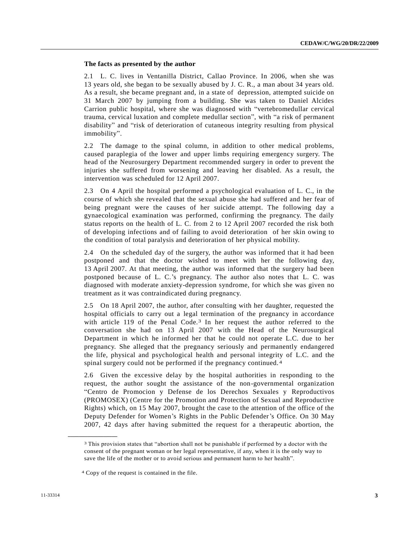## **The facts as presented by the author**

2.1 L. C. lives in Ventanilla District, Callao Province. In 2006, when she was 13 years old, she began to be sexually abused by J. C. R., a man about 34 years old. As a result, she became pregnant and, in a state of depression, attempted suicide on 31 March 2007 by jumping from a building. She was taken to Daniel Alcides Carrion public hospital, where she was diagnosed with "vertebromedullar cervical trauma, cervical luxation and complete medullar section", with "a risk of permanent disability" and "risk of deterioration of cutaneous integrity resulting from physical immobility".

2.2 The damage to the spinal column, in addition to other medical problems, caused paraplegia of the lower and upper limbs requiring emergency surgery. The head of the Neurosurgery Department recommended surgery in order to prevent the injuries she suffered from worsening and leaving her disabled. As a result, the intervention was scheduled for 12 April 2007.

2.3 On 4 April the hospital performed a psychological evaluation of L. C., in the course of which she revealed that the sexual abuse she had suffered and her fear of being pregnant were the causes of her suicide attempt. The following day a gynaecological examination was performed, confirming the pregnancy. The daily status reports on the health of L. C. from 2 to 12 April 2007 recorded the risk both of developing infections and of failing to avoid deterioration of her skin owing to the condition of total paralysis and deterioration of her physical mobility.

2.4 On the scheduled day of the surgery, the author was informed that it had been postponed and that the doctor wished to meet with her the following day, 13 April 2007. At that meeting, the author was informed that the surgery had been postponed because of L. C.'s pregnancy. The author also notes that L. C. was diagnosed with moderate anxiety-depression syndrome, for which she was given no treatment as it was contraindicated during pregnancy.

2.5 On 18 April 2007, the author, after consulting with her daughter, requested the hospital officials to carry out a legal termination of the pregnancy in accordance with article 119 of the Penal Code.<sup>3</sup> In her request the author referred to the conversation she had on 13 April 2007 with the Head of the Neurosurgical Department in which he informed her that he could not operate L.C. due to her pregnancy. She alleged that the pregnancy seriously and permanently endangered the life, physical and psychological health and personal integrity of L.C. and the spinal surgery could not be performed if the pregnancy continued. 4

2.6 Given the excessive delay by the hospital authorities in responding to the request, the author sought the assistance of the non-governmental organization "Centro de Promocion y Defense de los Derechos Sexuales y Reproductivos (PROMOSEX) (Centre for the Promotion and Protection of Sexual and Reproductive Rights) which, on 15 May 2007, brought the case to the attention of the office of the Deputy Defender for Women's Rights in the Public Defender's Office. On 30 May 2007, 42 days after having submitted the request for a therapeutic abortion, the

<sup>3</sup> This provision states that "abortion shall not be punishable if performed by a doctor with the consent of the pregnant woman or her legal representative, if any, when it is the only way to save the life of the mother or to avoid serious and permanent harm to her health".

<sup>4</sup> Copy of the request is contained in the file.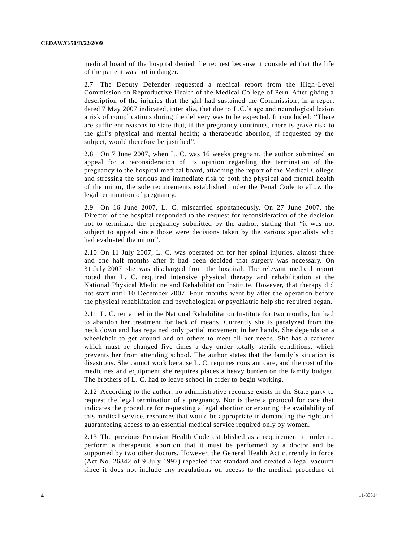medical board of the hospital denied the request because it considered that the life of the patient was not in danger.

2.7 The Deputy Defender requested a medical report from the High-Level Commission on Reproductive Health of the Medical College of Peru. After giving a description of the injuries that the girl had sustained the Commission, in a report dated 7 May 2007 indicated, inter alia, that due to L.C.'s age and neurological lesion a risk of complications during the delivery was to be expected. It concluded: "There are sufficient reasons to state that, if the pregnancy continues, there is grave risk to the girl's physical and mental health; a therapeutic abortion, if requested by the subject, would therefore be justified".

2.8 On 7 June 2007, when L. C. was 16 weeks pregnant, the author submitted an appeal for a reconsideration of its opinion regarding the termination of the pregnancy to the hospital medical board, attaching the report of the Medical College and stressing the serious and immediate risk to both the physical and mental health of the minor, the sole requirements established under the Penal Code to allow the legal termination of pregnancy.

2.9 On 16 June 2007, L. C. miscarried spontaneously. On 27 June 2007, the Director of the hospital responded to the request for reconsideration of the decision not to terminate the pregnancy submitted by the author, stating that "it was not subject to appeal since those were decisions taken by the various specialists who had evaluated the minor".

2.10 On 11 July 2007, L. C. was operated on for her spinal injuries, almost three and one half months after it had been decided that surgery was necessary. On 31 July 2007 she was discharged from the hospital. The relevant medical report noted that L. C. required intensive physical therapy and rehabilitation at the National Physical Medicine and Rehabilitation Institute. However, that therapy did not start until 10 December 2007. Four months went by after the operation before the physical rehabilitation and psychological or psychiatric help she required began.

2.11 L. C. remained in the National Rehabilitation Institute for two months, but had to abandon her treatment for lack of means. Currently she is paralyzed from the neck down and has regained only partial movement in her hands. She depends on a wheelchair to get around and on others to meet all her needs. She has a catheter which must be changed five times a day under totally sterile conditions, which prevents her from attending school. The author states that the family's situation is disastrous. She cannot work because L. C. requires constant care, and the cost of the medicines and equipment she requires places a heavy burden on the family budget. The brothers of L. C. had to leave school in order to begin working.

2.12 According to the author, no administrative recourse exists in the State party to request the legal termination of a pregnancy. Nor is there a protocol for care that indicates the procedure for requesting a legal abortion or ensuring the availability of this medical service, resources that would be appropriate in demanding the right and guaranteeing access to an essential medical service required only by women.

2.13 The previous Peruvian Health Code established as a requirement in order to perform a therapeutic abortion that it must be performed by a doctor and be supported by two other doctors. However, the General Health Act currently in force (Act No. 26842 of 9 July 1997) repealed that standard and created a legal vacuum since it does not include any regulations on access to the medical procedure of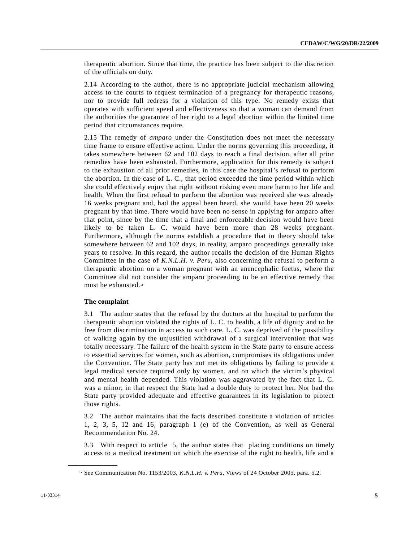therapeutic abortion. Since that time, the practice has been subject to the discretion of the officials on duty.

2.14 According to the author, there is no appropriate judicial mechanism allowing access to the courts to request termination of a pregnancy for therapeutic reasons, nor to provide full redress for a violation of this type. No remedy exists that operates with sufficient speed and effectiveness so that a woman can demand from the authorities the guarantee of her right to a legal abortion within the limited time period that circumstances require.

2.15 The remedy of *amparo* under the Constitution does not meet the necessary time frame to ensure effective action. Under the norms governing this proceeding, it takes somewhere between 62 and 102 days to reach a final decision, after all prior remedies have been exhausted. Furthermore, application for this remedy is subject to the exhaustion of all prior remedies, in this case the hospital's refusal to perform the abortion. In the case of L. C., that period exceeded the time period within which she could effectively enjoy that right without risking even more harm to her life and health. When the first refusal to perform the abortion was received she was already 16 weeks pregnant and, had the appeal been heard, she would have been 20 weeks pregnant by that time. There would have been no sense in applying for amparo after that point, since by the time that a final and enforceable decision would have been likely to be taken L. C. would have been more than 28 weeks pregnant. Furthermore, although the norms establish a procedure that in theory should take somewhere between 62 and 102 days, in reality, amparo proceedings generally take years to resolve. In this regard, the author recalls the decision of the Human Rights Committee in the case of *K.N.L.H. v. Peru*, also concerning the refusal to perform a therapeutic abortion on a woman pregnant with an anencephalic foetus, where the Committee did not consider the amparo proceeding to be an effective remedy that must be exhausted.5

#### **The complaint**

**\_\_\_\_\_\_\_\_\_\_\_\_\_\_\_\_\_\_**

3.1 The author states that the refusal by the doctors at the hospital to perform the therapeutic abortion violated the rights of L. C. to health, a life of dignity and to be free from discrimination in access to such care. L. C. was deprived of the possibility of walking again by the unjustified withdrawal of a surgical intervention that was totally necessary. The failure of the health system in the State party to ensure access to essential services for women, such as abortion, compromises its obligations under the Convention. The State party has not met its obligations by failing to provide a legal medical service required only by women, and on which the victim's physical and mental health depended. This violation was aggravated by the fact that L. C. was a minor; in that respect the State had a double duty to protect her. Nor had the State party provided adequate and effective guarantees in its legislation to protect those rights.

3.2 The author maintains that the facts described constitute a violation of articles 1, 2, 3, 5, 12 and 16, paragraph 1 (e) of the Convention, as well as General Recommendation No. 24.

3.3 With respect to article 5, the author states that placing conditions on timely access to a medical treatment on which the exercise of the right to health, life and a

<sup>5</sup> See Communication No. 1153/2003, *K.N.L.H. v. Peru*, Views of 24 October 2005, para. 5.2.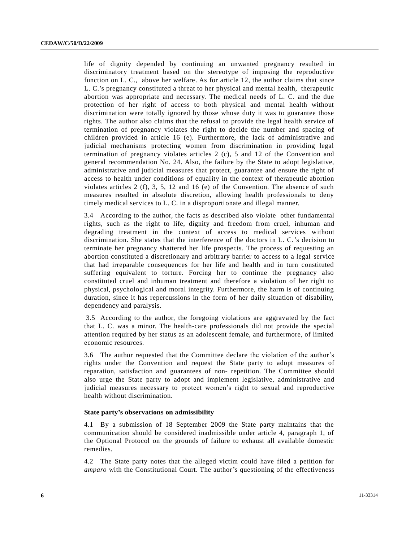life of dignity depended by continuing an unwanted pregnancy resulted in discriminatory treatment based on the stereotype of imposing the reproductive function on L. C., above her welfare. As for article 12, the author claims that since L. C.'s pregnancy constituted a threat to her physical and mental health, therapeutic abortion was appropriate and necessary. The medical needs of L. C. and the due protection of her right of access to both physical and mental health without discrimination were totally ignored by those whose duty it was to guarantee those rights. The author also claims that the refusal to provide the legal health service of termination of pregnancy violates the right to decide the number and spacing of children provided in article 16 (e). Furthermore, the lack of administrative and judicial mechanisms protecting women from discrimination in providing legal termination of pregnancy violates articles 2 (c), 5 and 12 of the Convention and general recommendation No. 24. Also, the failure by the State to adopt legislative, administrative and judicial measures that protect, guarantee and ensure the right of access to health under conditions of equality in the context of therapeutic abortion violates articles 2 (f), 3, 5, 12 and 16 (e) of the Convention. The absence of such measures resulted in absolute discretion, allowing health professionals to deny timely medical services to L. C. in a disproportionate and illegal manner.

3.4 According to the author, the facts as described also violate other fundamental rights, such as the right to life, dignity and freedom from cruel, inhuman and degrading treatment in the context of access to medical services without discrimination. She states that the interference of the doctors in L. C.'s decision to terminate her pregnancy shattered her life prospects. The process of requesting an abortion constituted a discretionary and arbitrary barrier to access to a legal service that had irreparable consequences for her life and health and in turn constituted suffering equivalent to torture. Forcing her to continue the pregnancy also constituted cruel and inhuman treatment and therefore a violation of her right to physical, psychological and moral integrity. Furthermore, the harm is of continuing duration, since it has repercussions in the form of her daily situation of disability, dependency and paralysis.

3.5 According to the author, the foregoing violations are aggravated by the fact that L. C. was a minor. The health-care professionals did not provide the special attention required by her status as an adolescent female, and furthermore, of limited economic resources.

3.6 The author requested that the Committee declare the violation of the author's rights under the Convention and request the State party to adopt measures of reparation, satisfaction and guarantees of non- repetition. The Committee should also urge the State party to adopt and implement legislative, administrative and judicial measures necessary to protect women's right to sexual and reproductive health without discrimination.

#### **State party's observations on admissibility**

4.1 By a submission of 18 September 2009 the State party maintains that the communication should be considered inadmissible under article 4, paragraph 1, of the Optional Protocol on the grounds of failure to exhaust all available domestic remedies.

4.2 The State party notes that the alleged victim could have filed a petition for *amparo* with the Constitutional Court. The author's questioning of the effectiveness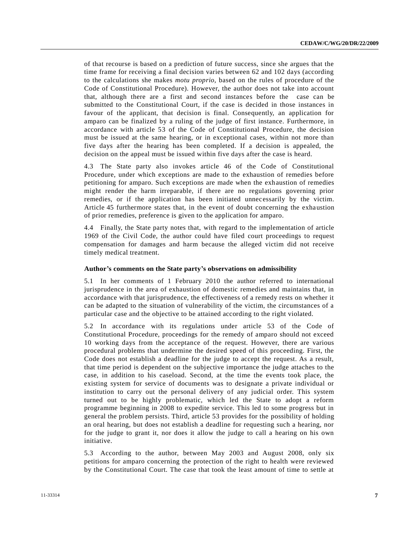of that recourse is based on a prediction of future success, since she argues that the time frame for receiving a final decision varies between 62 and 102 days (according to the calculations she makes *motu proprio*, based on the rules of procedure of the Code of Constitutional Procedure). However, the author does not take into account that, although there are a first and second instances before the case can be submitted to the Constitutional Court, if the case is decided in those instances in favour of the applicant, that decision is final. Consequently, an application for amparo can be finalized by a ruling of the judge of first instance. Furthermore, in accordance with article 53 of the Code of Constitutional Procedure, the decision must be issued at the same hearing, or in exceptional cases, within not more than five days after the hearing has been completed. If a decision is appealed, the decision on the appeal must be issued within five days after the case is heard.

4.3 The State party also invokes article 46 of the Code of Constitutional Procedure, under which exceptions are made to the exhaustion of remedies before petitioning for amparo. Such exceptions are made when the exhaustion of remedies might render the harm irreparable, if there are no regulations governing prior remedies, or if the application has been initiated unnecessarily by the victim. Article 45 furthermore states that, in the event of doubt concerning the exhaustion of prior remedies, preference is given to the application for amparo.

4.4 Finally, the State party notes that, with regard to the implementation of article 1969 of the Civil Code, the author could have filed court proceedings to request compensation for damages and harm because the alleged victim did not receive timely medical treatment.

#### **Author's comments on the State party's observations on admissibility**

5.1 In her comments of 1 February 2010 the author referred to international jurisprudence in the area of exhaustion of domestic remedies and maintains that, in accordance with that jurisprudence, the effectiveness of a remedy rests on whether it can be adapted to the situation of vulnerability of the victim, the circumstances of a particular case and the objective to be attained according to the right violated.

5.2 In accordance with its regulations under article 53 of the Code of Constitutional Procedure, proceedings for the remedy of amparo should not exceed 10 working days from the acceptance of the request. However, there are various procedural problems that undermine the desired speed of this proceeding. First, the Code does not establish a deadline for the judge to accept the request. As a result, that time period is dependent on the subjective importance the judge attaches to the case, in addition to his caseload. Second, at the time the events took place, the existing system for service of documents was to designate a private individual or institution to carry out the personal delivery of any judicial order. This system turned out to be highly problematic, which led the State to adopt a reform programme beginning in 2008 to expedite service. This led to some progress but in general the problem persists. Third, article 53 provides for the possibility of holding an oral hearing, but does not establish a deadline for requesting such a hearing, nor for the judge to grant it, nor does it allow the judge to call a hearing on his own initiative.

5.3 According to the author, between May 2003 and August 2008, only six petitions for amparo concerning the protection of the right to health were reviewed by the Constitutional Court. The case that took the least amount of time to settle at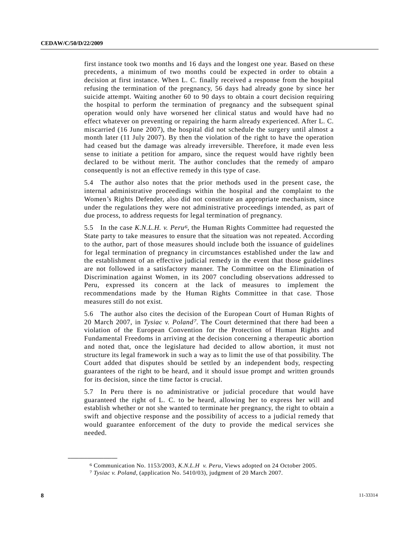first instance took two months and 16 days and the longest one year. Based on these precedents, a minimum of two months could be expected in order to obtain a decision at first instance. When L. C. finally received a response from the hospital refusing the termination of the pregnancy, 56 days had already gone by since her suicide attempt. Waiting another 60 to 90 days to obtain a court decision requiring the hospital to perform the termination of pregnancy and the subsequent spinal operation would only have worsened her clinical status and would have had no effect whatever on preventing or repairing the harm already experienced. After L. C. miscarried (16 June 2007), the hospital did not schedule the surgery until almost a month later (11 July 2007). By then the violation of the right to have the operation had ceased but the damage was already irreversible. Therefore, it made even less sense to initiate a petition for amparo, since the request would have rightly been declared to be without merit. The author concludes that the remedy of amparo consequently is not an effective remedy in this type of case.

5.4 The author also notes that the prior methods used in the present case, the internal administrative proceedings within the hospital and the complaint to the Women's Rights Defender, also did not constitute an appropriate mechanism, since under the regulations they were not administrative proceedings intended, as part of due process, to address requests for legal termination of pregnancy.

5.5 In the case *K.N.L.H. v. Peru6* , the Human Rights Committee had requested the State party to take measures to ensure that the situation was not repeated. According to the author, part of those measures should include both the issuance of guidelines for legal termination of pregnancy in circumstances established under the law and the establishment of an effective judicial remedy in the event that those guidelines are not followed in a satisfactory manner. The Committee on the Elimination of Discrimination against Women, in its 2007 concluding observations addressed to Peru, expressed its concern at the lack of measures to implement the recommendations made by the Human Rights Committee in that case. Those measures still do not exist.

5.6 The author also cites the decision of the European Court of Human Rights of 20 March 2007, in *Tysiac v. Poland7* . The Court determined that there had been a violation of the European Convention for the Protection of Human Rights and Fundamental Freedoms in arriving at the decision concerning a therapeutic abortion and noted that, once the legislature had decided to allow abortion, it must not structure its legal framework in such a way as to limit the use of that possibility. The Court added that disputes should be settled by an independent body, respecting guarantees of the right to be heard, and it should issue prompt and written grounds for its decision, since the time factor is crucial.

5.7 In Peru there is no administrative or judicial procedure that would have guaranteed the right of L. C. to be heard, allowing her to express her will and establish whether or not she wanted to terminate her pregnancy, the right to obtain a swift and objective response and the possibility of access to a judicial remedy that would guarantee enforcement of the duty to provide the medical services she needed.

<sup>6</sup> Communication No. 1153/2003*, K.N.L.H v. Peru*, Views adopted on 24 October 2005.

<sup>7</sup> *Tysiac v. Poland*, (application No. 5410/03), judgment of 20 March 2007.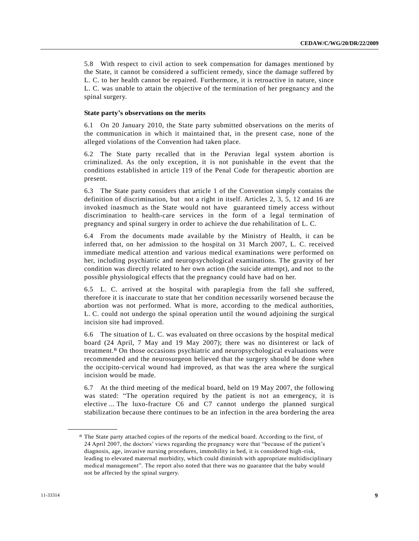5.8 With respect to civil action to seek compensation for damages mentioned by the State, it cannot be considered a sufficient remedy, since the damage suffered by L. C. to her health cannot be repaired. Furthermore, it is retroactive in nature, since L. C. was unable to attain the objective of the termination of her pregnancy and the spinal surgery.

#### **State party's observations on the merits**

6.1 On 20 January 2010, the State party submitted observations on the merits of the communication in which it maintained that, in the present case, none of the alleged violations of the Convention had taken place.

6.2 The State party recalled that in the Peruvian legal system abortion is criminalized. As the only exception, it is not punishable in the event that the conditions established in article 119 of the Penal Code for therapeutic abortion are present.

6.3 The State party considers that article 1 of the Convention simply contains the definition of discrimination, but not a right in itself. Articles 2, 3, 5, 12 and 16 are invoked inasmuch as the State would not have guaranteed timely access without discrimination to health-care services in the form of a legal termination of pregnancy and spinal surgery in order to achieve the due rehabilitation of L. C.

6.4 From the documents made available by the Ministry of Health, it can be inferred that, on her admission to the hospital on 31 March 2007, L. C. received immediate medical attention and various medical examinations were performed on her, including psychiatric and neuropsychological examinations. The gravity of her condition was directly related to her own action (the suicide attempt), and not to the possible physiological effects that the pregnancy could have had on her.

6.5 L. C. arrived at the hospital with paraplegia from the fall she suffered, therefore it is inaccurate to state that her condition necessarily worsened because the abortion was not performed. What is more, according to the medical authorities, L. C. could not undergo the spinal operation until the wound adjoining the surgical incision site had improved.

6.6 The situation of L. C. was evaluated on three occasions by the hospital medical board (24 April, 7 May and 19 May 2007); there was no disinterest or lack of treatment.8 On those occasions psychiatric and neuropsychological evaluations were recommended and the neurosurgeon believed that the surgery should be done when the occipito-cervical wound had improved, as that was the area where the surgical incision would be made.

6.7 At the third meeting of the medical board, held on 19 May 2007, the following was stated: "The operation required by the patient is not an emergency, it is elective ... The luxo-fracture C6 and C7 cannot undergo the planned surgical stabilization because there continues to be an infection in the area bordering the area

<sup>8</sup> The State party attached copies of the reports of the medical board. According to the first, of 24 April 2007, the doctors' views regarding the pregnancy were that "because of the patient's diagnosis, age, invasive nursing procedures, immobility in bed, it is considered high-risk, leading to elevated maternal morbidity, which could diminish with appropriate multidisciplinary medical management". The report also noted that there was no guarantee that the baby would not be affected by the spinal surgery.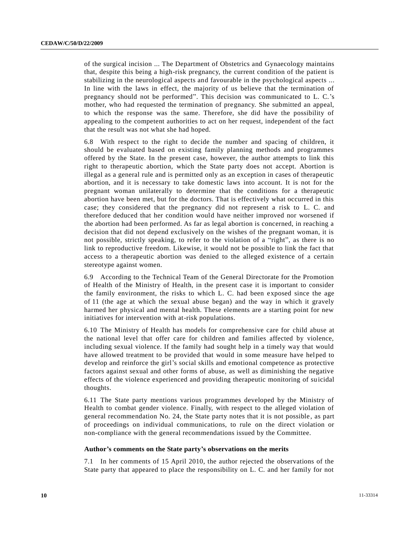of the surgical incision ... The Department of Obstetrics and Gynaecology maintains that, despite this being a high-risk pregnancy, the current condition of the patient is stabilizing in the neurological aspects and favourable in the psychological aspects ... In line with the laws in effect, the majority of us believe that the termination of pregnancy should not be performed". This decision was communicated to L. C.'s mother, who had requested the termination of pregnancy. She submitted an appeal, to which the response was the same. Therefore, she did have the possibility of appealing to the competent authorities to act on her request, independent of the fact that the result was not what she had hoped.

6.8 With respect to the right to decide the number and spacing of children, it should be evaluated based on existing family planning methods and programmes offered by the State. In the present case, however, the author attempts to link this right to therapeutic abortion, which the State party does not accept. Abortion is illegal as a general rule and is permitted only as an exception in cases of therapeutic abortion, and it is necessary to take domestic laws into account. It is not for the pregnant woman unilaterally to determine that the conditions for a therapeutic abortion have been met, but for the doctors. That is effectively what occurred in this case; they considered that the pregnancy did not represent a risk to L. C. and therefore deduced that her condition would have neither improved nor worsened if the abortion had been performed. As far as legal abortion is concerned, in reaching a decision that did not depend exclusively on the wishes of the pregnant woman, it is not possible, strictly speaking, to refer to the violation of a "right", as there is no link to reproductive freedom. Likewise, it would not be possible to link the fact that access to a therapeutic abortion was denied to the alleged existence of a certain stereotype against women.

6.9 According to the Technical Team of the General Directorate for the Promotion of Health of the Ministry of Health, in the present case it is important to consider the family environment, the risks to which L. C. had been exposed since the age of 11 (the age at which the sexual abuse began) and the way in which it gravely harmed her physical and mental health. These elements are a starting point for new initiatives for intervention with at-risk populations.

6.10 The Ministry of Health has models for comprehensive care for child abuse at the national level that offer care for children and families affected by violence, including sexual violence. If the family had sought help in a timely way that would have allowed treatment to be provided that would in some measure have helped to develop and reinforce the girl's social skills and emotional competence as protective factors against sexual and other forms of abuse, as well as diminishing the negative effects of the violence experienced and providing therapeutic monitoring of su icidal thoughts.

6.11 The State party mentions various programmes developed by the Ministry of Health to combat gender violence. Finally, with respect to the alleged violation of general recommendation No. 24, the State party notes that it is not possible , as part of proceedings on individual communications, to rule on the direct violation or non-compliance with the general recommendations issued by the Committee.

#### **Author's comments on the State party's observations on the merits**

7.1 In her comments of 15 April 2010, the author rejected the observations of the State party that appeared to place the responsibility on L. C. and her family for not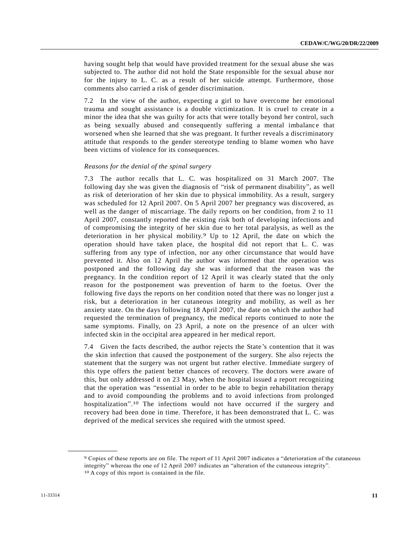having sought help that would have provided treatment for the sexual abuse she was subjected to. The author did not hold the State responsible for the sexual abuse nor for the injury to L. C. as a result of her suicide attempt. Furthermore, those comments also carried a risk of gender discrimination.

7.2 In the view of the author, expecting a girl to have overcome her emotional trauma and sought assistance is a double victimization. It is cruel to create in a minor the idea that she was guilty for acts that were totally beyond her control, such as being sexually abused and consequently suffering a mental imbalanc e that worsened when she learned that she was pregnant. It further reveals a discriminatory attitude that responds to the gender stereotype tending to blame women who have been victims of violence for its consequences.

#### *Reasons for the denial of the spinal surgery*

7.3 The author recalls that L. C. was hospitalized on 31 March 2007. The following day she was given the diagnosis of "risk of permanent disability", as well as risk of deterioration of her skin due to physical immobility. As a result, surgery was scheduled for 12 April 2007. On 5 April 2007 her pregnancy was discovered, as well as the danger of miscarriage. The daily reports on her condition, from 2 to 11 April 2007, constantly reported the existing risk both of developing infections and of compromising the integrity of her skin due to her total paralysis, as well as the deterioration in her physical mobility.9 Up to 12 April, the date on which the operation should have taken place, the hospital did not report that L. C. was suffering from any type of infection, nor any other circumstance that would have prevented it. Also on 12 April the author was informed that the operation was postponed and the following day she was informed that the reason was the pregnancy. In the condition report of 12 April it was clearly stated that the only reason for the postponement was prevention of harm to the foetus. Over the following five days the reports on her condition noted that there was no longer just a risk, but a deterioration in her cutaneous integrity and mobility, as well as her anxiety state. On the days following 18 April 2007, the date on which the author had requested the termination of pregnancy, the medical reports continued to note the same symptoms. Finally, on 23 April, a note on the presence of an ulcer with infected skin in the occipital area appeared in her medical report.

7.4 Given the facts described, the author rejects the State's contention that it was the skin infection that caused the postponement of the surgery. She also rejects the statement that the surgery was not urgent but rather elective. Immediate surgery of this type offers the patient better chances of recovery. The doctors were aware of this, but only addressed it on 23 May, when the hospital issued a report recognizing that the operation was "essential in order to be able to begin rehabilitation therapy and to avoid compounding the problems and to avoid infections from prolonged hospitalization". 10 The infections would not have occurred if the surgery and recovery had been done in time. Therefore, it has been demonstrated that L. C. was deprived of the medical services she required with the utmost speed.

<sup>9</sup> Copies of these reports are on file. The report of 11 April 2007 indicates a "deterioration of the cutaneous integrity" whereas the one of 12 April 2007 indicates an "alteration of the cutaneous integrity". 10 A copy of this report is contained in the file.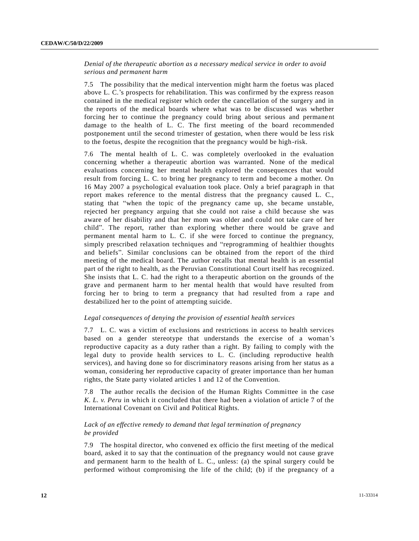*Denial of the therapeutic abortion as a necessary medical service in order to avoid serious and permanent harm* 

7.5 The possibility that the medical intervention might harm the foetus was placed above L. C.'s prospects for rehabilitation. This was confirmed by the express reason contained in the medical register which order the cancellation of the surgery and in the reports of the medical boards where what was to be discussed was whether forcing her to continue the pregnancy could bring about serious and permane nt damage to the health of L. C. The first meeting of the board recommended postponement until the second trimester of gestation, when there would be less risk to the foetus, despite the recognition that the pregnancy would be high-risk.

7.6 The mental health of L. C. was completely overlooked in the evaluation concerning whether a therapeutic abortion was warranted. None of the medical evaluations concerning her mental health explored the consequences that would result from forcing L. C. to bring her pregnancy to term and become a mother. On 16 May 2007 a psychological evaluation took place. Only a brief paragraph in that report makes reference to the mental distress that the pregnancy caused L. C., stating that "when the topic of the pregnancy came up, she became unstable, rejected her pregnancy arguing that she could not raise a child because she was aware of her disability and that her mom was older and could not take care of her child". The report, rather than exploring whether there would be grave and permanent mental harm to L. C. if she were forced to continue the pregnancy, simply prescribed relaxation techniques and "reprogramming of healthier thoughts and beliefs". Similar conclusions can be obtained from the report of the third meeting of the medical board. The author recalls that mental health is an essential part of the right to health, as the Peruvian Constitutional Court itself has recognized. She insists that L. C. had the right to a therapeutic abortion on the grounds of the grave and permanent harm to her mental health that would have resulted from forcing her to bring to term a pregnancy that had resulted from a rape and destabilized her to the point of attempting suicide.

#### *Legal consequences of denying the provision of essential health services*

7.7 L. C. was a victim of exclusions and restrictions in access to health services based on a gender stereotype that understands the exercise of a woman's reproductive capacity as a duty rather than a right. By failing to comply with the legal duty to provide health services to L. C. (including reproductive health services), and having done so for discriminatory reasons arising from her status as a woman, considering her reproductive capacity of greater importance than her human rights, the State party violated articles 1 and 12 of the Convention.

7.8 The author recalls the decision of the Human Rights Committee in the case *K. L. v. Peru* in which it concluded that there had been a violation of article 7 of the International Covenant on Civil and Political Rights.

## *Lack of an effective remedy to demand that legal termination of pregnancy be provided*

7.9 The hospital director, who convened ex officio the first meeting of the medical board, asked it to say that the continuation of the pregnancy would not cause grave and permanent harm to the health of L. C., unless: (a) the spinal surgery could be performed without compromising the life of the child; (b) if the pregnancy of a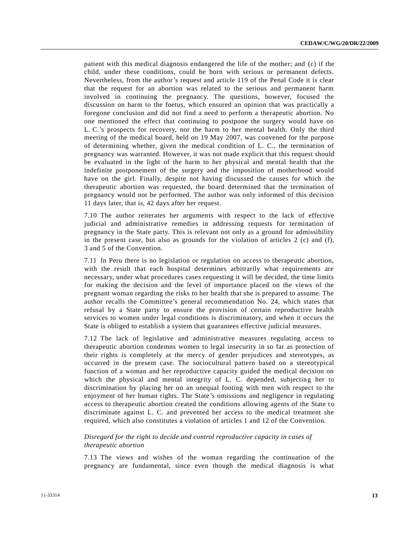patient with this medical diagnosis endangered the life of the mother; and (c) if the child, under these conditions, could be born with serious or permanent defects. Nevertheless, from the author's request and article 119 of the Penal Code it is clear that the request for an abortion was related to the serious and permanent harm involved in continuing the pregnancy. The questions, however, focused the discussion on harm to the foetus, which ensured an opinion that was practically a foregone conclusion and did not find a need to perform a therapeutic abortion. No one mentioned the effect that continuing to postpone the surgery would have on L. C.'s prospects for recovery, nor the harm to her mental health. Only the third meeting of the medical board, held on 19 May 2007, was convened for the purpose of determining whether, given the medical condition of L. C., the termination of pregnancy was warranted. However, it was not made explicit that this request should be evaluated in the light of the harm to her physical and mental health that the indefinite postponement of the surgery and the imposition of motherhood would have on the girl. Finally, despite not having discussed the causes for which the therapeutic abortion was requested, the board determined that the termination of pregnancy would not be performed. The author was only informed of this decision 11 days later, that is, 42 days after her request.

7.10 The author reiterates her arguments with respect to the lack of effective judicial and administrative remedies in addressing requests for termination of pregnancy in the State party. This is relevant not only as a ground for admissibility in the present case, but also as grounds for the violation of articles 2 (c) and (f), 3 and 5 of the Convention.

7.11 In Peru there is no legislation or regulation on access to therapeutic abortion, with the result that each hospital determines arbitrarily what requirements are necessary, under what procedures cases requesting it will be decided, the time limits for making the decision and the level of importance placed on the views of the pregnant woman regarding the risks to her health that she is prepared to assume. The author recalls the Committee's general recommendation No. 24, which states that refusal by a State party to ensure the provision of certain reproductive health services to women under legal conditions is discriminatory, and when it occurs the State is obliged to establish a system that guarantees effective judicial measures.

7.12 The lack of legislative and administrative measures regulating access to therapeutic abortion condemns women to legal insecurity in so far as protection of their rights is completely at the mercy of gender prejudices and stereotypes, as occurred in the present case. The sociocultural pattern based on a stereotypical function of a woman and her reproductive capacity guided the medical decision on which the physical and mental integrity of L. C. depended, subjecting her to discrimination by placing her on an unequal footing with men with respect to the enjoyment of her human rights. The State's omissions and negligence in regulating access to therapeutic abortion created the conditions allowing agents of the State to discriminate against L. C. and prevented her access to the medical treatment she required, which also constitutes a violation of articles 1 and 12 of the Convention.

## *Disregard for the right to decide and control reproductive capacity in cases of therapeutic abortion*

7.13 The views and wishes of the woman regarding the continuation of the pregnancy are fundamental, since even though the medical diagnosis is what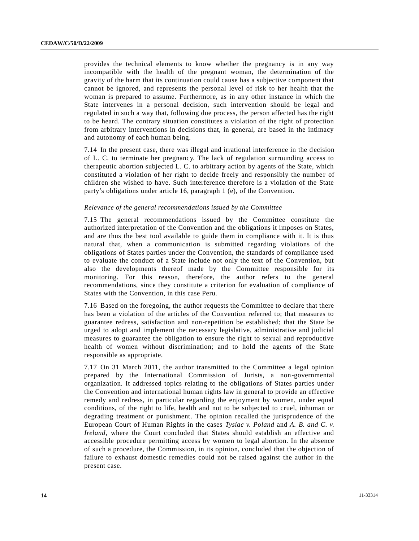provides the technical elements to know whether the pregnancy is in any way incompatible with the health of the pregnant woman, the determination of the gravity of the harm that its continuation could cause has a subjective component that cannot be ignored, and represents the personal level of risk to her health that the woman is prepared to assume. Furthermore, as in any other instance in which the State intervenes in a personal decision, such intervention should be legal and regulated in such a way that, following due process, the person affected has the right to be heard. The contrary situation constitutes a violation of the right of protection from arbitrary interventions in decisions that, in general, are based in the intimacy and autonomy of each human being.

7.14 In the present case, there was illegal and irrational interference in the decision of L. C. to terminate her pregnancy. The lack of regulation surrounding access to therapeutic abortion subjected L. C. to arbitrary action by agents of the State, which constituted a violation of her right to decide freely and responsibly the number of children she wished to have. Such interference therefore is a violation of the State party's obligations under article 16, paragraph 1 (e), of the Convention.

#### *Relevance of the general recommendations issued by the Committee*

7.15 The general recommendations issued by the Committee constitute the authorized interpretation of the Convention and the obligations it imposes on States, and are thus the best tool available to guide them in compliance with it. It is thus natural that, when a communication is submitted regarding violations of the obligations of States parties under the Convention, the standards of compliance used to evaluate the conduct of a State include not only the text of the Convention, but also the developments thereof made by the Committee responsible for its monitoring. For this reason, therefore, the author refers to the general recommendations, since they constitute a criterion for evaluation of compliance of States with the Convention, in this case Peru.

7.16 Based on the foregoing, the author requests the Committee to declare that there has been a violation of the articles of the Convention referred to; that measures to guarantee redress, satisfaction and non-repetition be established; that the State be urged to adopt and implement the necessary legislative, administrative and judicial measures to guarantee the obligation to ensure the right to sexual and reproductive health of women without discrimination; and to hold the agents of the State responsible as appropriate.

7.17 On 31 March 2011, the author transmitted to the Committee a legal opinion prepared by the International Commission of Jurists, a non-governmental organization. It addressed topics relating to the obligations of States parties under the Convention and international human rights law in general to provide an effective remedy and redress, in particular regarding the enjoyment by women, under equal conditions, of the right to life, health and not to be subjected to cruel, inhuman or degrading treatment or punishment. The opinion recalled the jurisprudence of the European Court of Human Rights in the cases *Tysiac v. Poland* and *A. B. and C. v. Ireland*, where the Court concluded that States should establish an effective and accessible procedure permitting access by women to legal abortion. In the absence of such a procedure, the Commission, in its opinion, concluded that the objection of failure to exhaust domestic remedies could not be raised against the author in the present case.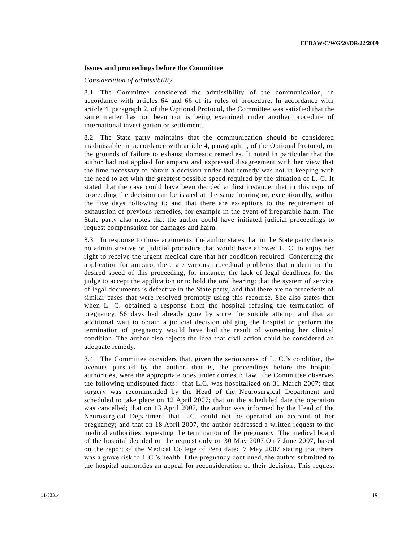#### **Issues and proceedings before the Committee**

#### *Consideration of admissibility*

8.1 The Committee considered the admissibility of the communication, in accordance with articles 64 and 66 of its rules of procedure. In accordance with article 4, paragraph 2, of the Optional Protocol, the Committee was satisfied that the same matter has not been nor is being examined under another procedure of international investigation or settlement.

8.2 The State party maintains that the communication should be considered inadmissible, in accordance with article 4, paragraph 1, of the Optional Protocol, on the grounds of failure to exhaust domestic remedies. It noted in particular that the author had not applied for amparo and expressed disagreement with her view that the time necessary to obtain a decision under that remedy was not in keeping with the need to act with the greatest possible speed required by the situation of L. C. It stated that the case could have been decided at first instance; that in this type of proceeding the decision can be issued at the same hearing or, exceptionally, within the five days following it; and that there are exceptions to the requirement of exhaustion of previous remedies, for example in the event of irreparable harm. The State party also notes that the author could have initiated judicial proceedings to request compensation for damages and harm.

8.3 In response to those arguments, the author states that in the State party there is no administrative or judicial procedure that would have allowed L. C. to enjoy her right to receive the urgent medical care that her condition required. Concerning the application for amparo, there are various procedural problems that undermine the desired speed of this proceeding, for instance, the lack of legal deadlines for the judge to accept the application or to hold the oral hearing; that the system of service of legal documents is defective in the State party; and that there are no precedents of similar cases that were resolved promptly using this recourse. She also states that when L. C. obtained a response from the hospital refusing the termination of pregnancy, 56 days had already gone by since the suicide attempt and that an additional wait to obtain a judicial decision obliging the hospital to perform the termination of pregnancy would have had the result of worsening her clinical condition. The author also rejects the idea that civil action could be considered an adequate remedy.

8.4 The Committee considers that, given the seriousness of L. C.'s condition, the avenues pursued by the author, that is, the proceedings before the hospital authorities, were the appropriate ones under domestic law. The Committee observes the following undisputed facts: that L.C. was hospitalized on 31 March 2007; that surgery was recommended by the Head of the Neurosurgical Department and scheduled to take place on 12 April 2007; that on the scheduled date the operation was cancelled; that on 13 April 2007, the author was informed by the Head of the Neurosurgical Department that L.C. could not be operated on account of her pregnancy; and that on 18 April 2007, the author addressed a written request to the medical authorities requesting the termination of the pregnancy. The medical board of the hospital decided on the request only on 30 May 2007.On 7 June 2007, based on the report of the Medical College of Peru dated 7 May 2007 stating that there was a grave risk to L.C.'s health if the pregnancy continued, the author submitted to the hospital authorities an appeal for reconsideration of their decision. This request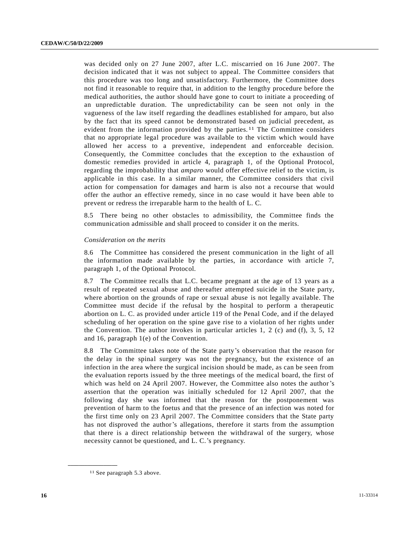was decided only on 27 June 2007, after L.C. miscarried on 16 June 2007. The decision indicated that it was not subject to appeal. The Committee considers that this procedure was too long and unsatisfactory. Furthermore, the Committee does not find it reasonable to require that, in addition to the lengthy procedure before the medical authorities, the author should have gone to court to initiate a proceeding of an unpredictable duration. The unpredictability can be seen not only in the vagueness of the law itself regarding the deadlines established for amparo, but also by the fact that its speed cannot be demonstrated based on judicial precedent, as evident from the information provided by the parties.  $11$  The Committee considers that no appropriate legal procedure was available to the victim which would have allowed her access to a preventive, independent and enforceable decision. Consequently, the Committee concludes that the exception to the exhaustion of domestic remedies provided in article 4, paragraph 1, of the Optional Protocol, regarding the improbability that *amparo* would offer effective relief to the victim, is applicable in this case. In a similar manner, the Committee considers that civil action for compensation for damages and harm is also not a recourse that would offer the author an effective remedy, since in no case would it have been able to prevent or redress the irreparable harm to the health of L. C.

8.5 There being no other obstacles to admissibility, the Committee finds the communication admissible and shall proceed to consider it on the merits.

#### *Consideration on the merits*

8.6 The Committee has considered the present communication in the light of all the information made available by the parties, in accordance with article 7, paragraph 1, of the Optional Protocol.

8.7 The Committee recalls that L.C. became pregnant at the age of 13 years as a result of repeated sexual abuse and thereafter attempted suicide in the State party, where abortion on the grounds of rape or sexual abuse is not legally available. The Committee must decide if the refusal by the hospital to perform a therapeutic abortion on L. C. as provided under article 119 of the Penal Code, and if the delayed scheduling of her operation on the spine gave rise to a violation of her rights under the Convention. The author invokes in particular articles 1, 2 (c) and (f), 3, 5, 12 and 16, paragraph 1(e) of the Convention.

8.8 The Committee takes note of the State party's observation that the reason for the delay in the spinal surgery was not the pregnancy, but the existence of an infection in the area where the surgical incision should be made, as can be seen from the evaluation reports issued by the three meetings of the medical board, the first of which was held on 24 April 2007. However, the Committee also notes the author's assertion that the operation was initially scheduled for 12 April 2007, that the following day she was informed that the reason for the postponement was prevention of harm to the foetus and that the presence of an infection was noted for the first time only on 23 April 2007. The Committee considers that the State party has not disproved the author's allegations, therefore it starts from the assumption that there is a direct relationship between the withdrawal of the surgery, whose necessity cannot be questioned, and L. C.'s pregnancy.

<sup>11</sup> See paragraph 5.3 above.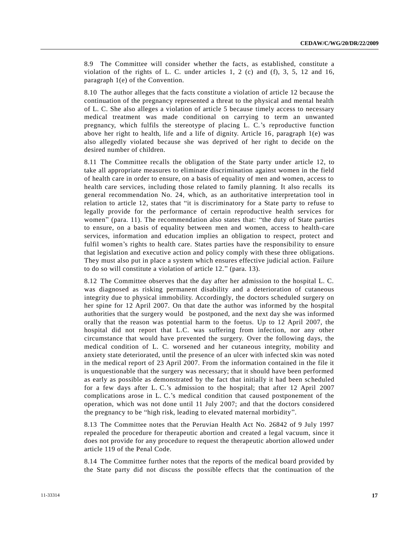8.9 The Committee will consider whether the facts, as established, constitute a violation of the rights of L. C. under articles 1, 2 (c) and  $(f)$ , 3, 5, 12 and 16, paragraph 1(e) of the Convention.

8.10 The author alleges that the facts constitute a violation of article 12 because the continuation of the pregnancy represented a threat to the physical and mental health of L. C. She also alleges a violation of article 5 because timely access to necessary medical treatment was made conditional on carrying to term an unwanted pregnancy, which fulfils the stereotype of placing L. C.'s reproductive function above her right to health, life and a life of dignity. Article 16, paragraph 1(e) was also allegedly violated because she was deprived of her right to decide on the desired number of children.

8.11 The Committee recalls the obligation of the State party under article 12, to take all appropriate measures to eliminate discrimination against women in the field of health care in order to ensure, on a basis of equality of men and women, access to health care services, including those related to family planning. It also recalls its general recommendation No. 24, which, as an authoritative interpretation tool in relation to article 12, states that "it is discriminatory for a State party to refuse to legally provide for the performance of certain reproductive health services for women" (para. 11). The recommendation also states that: "the duty of State parties to ensure, on a basis of equality between men and women, access to health-care services, information and education implies an obligation to respect, protect and fulfil women's rights to health care. States parties have the responsibility to ensure that legislation and executive action and policy comply with these three obligations. They must also put in place a system which ensures effective judicial action. Failure to do so will constitute a violation of article 12." (para. 13).

8.12 The Committee observes that the day after her admission to the hospital L. C. was diagnosed as risking permanent disability and a deterioration of cutaneous integrity due to physical immobility. Accordingly, the doctors scheduled surgery on her spine for 12 April 2007. On that date the author was informed by the hospital authorities that the surgery would be postponed, and the next day she was informed orally that the reason was potential harm to the foetus. Up to 12 April 2007, the hospital did not report that L.C. was suffering from infection, nor any other circumstance that would have prevented the surgery. Over the following days, the medical condition of L. C. worsened and her cutaneous integrity, mobility and anxiety state deteriorated, until the presence of an ulcer with infected skin was noted in the medical report of 23 April 2007. From the information contained in the file it is unquestionable that the surgery was necessary; that it should have been performed as early as possible as demonstrated by the fact that initially it had been scheduled for a few days after L. C.'s admission to the hospital; that after 12 April 2007 complications arose in L. C.'s medical condition that caused postponement of the operation, which was not done until 11 July 2007; and that the doctors considered the pregnancy to be "high risk, leading to elevated maternal morbidity".

8.13 The Committee notes that the Peruvian Health Act No. 26842 of 9 July 1997 repealed the procedure for therapeutic abortion and created a legal vacuum, since it does not provide for any procedure to request the therapeutic abortion allowed under article 119 of the Penal Code.

8.14 The Committee further notes that the reports of the medical board provided by the State party did not discuss the possible effects that the continuation of the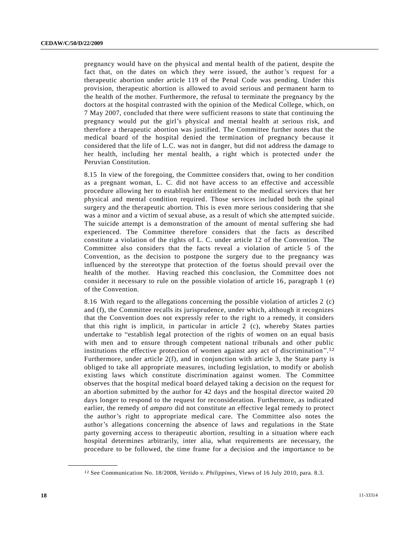pregnancy would have on the physical and mental health of the patient, despite the fact that, on the dates on which they were issued, the author's request for a therapeutic abortion under article 119 of the Penal Code was pending. Under this provision, therapeutic abortion is allowed to avoid serious and permanent harm to the health of the mother. Furthermore, the refusal to terminate the pregnancy by the doctors at the hospital contrasted with the opinion of the Medical College, which, on 7 May 2007, concluded that there were sufficient reasons to state that continuing the pregnancy would put the girl's physical and mental health at serious risk, and therefore a therapeutic abortion was justified. The Committee further notes that the medical board of the hospital denied the termination of pregnancy because it considered that the life of L.C. was not in danger, but did not address the damage to her health, including her mental health, a right which is protected under the Peruvian Constitution.

8.15 In view of the foregoing, the Committee considers that, owing to her condition as a pregnant woman, L. C. did not have access to an effective and accessible procedure allowing her to establish her entitlement to the medical services that her physical and mental condition required. Those services included both the spinal surgery and the therapeutic abortion. This is even more serious considering that she was a minor and a victim of sexual abuse, as a result of which she attempted suicide. The suicide attempt is a demonstration of the amount of mental suffering she had experienced. The Committee therefore considers that the facts as described constitute a violation of the rights of L. C. under article 12 of the Convention. The Committee also considers that the facts reveal a violation of article 5 of the Convention, as the decision to postpone the surgery due to the pregnancy was influenced by the stereotype that protection of the foetus should prevail over the health of the mother. Having reached this conclusion, the Committee does not consider it necessary to rule on the possible violation of article 16, paragraph 1 (e) of the Convention.

8.16 With regard to the allegations concerning the possible violation of articles 2 (c) and (f), the Committee recalls its jurisprudence, under which, although it recognizes that the Convention does not expressly refer to the right to a remedy, it considers that this right is implicit, in particular in article 2 (c), whereby States parties undertake to "establish legal protection of the rights of women on an equal basis with men and to ensure through competent national tribunals and other public institutions the effective protection of women against any act of discrimination". 12 Furthermore, under article  $2(f)$ , and in conjunction with article 3, the State party is obliged to take all appropriate measures, including legislation, to modify or abolish existing laws which constitute discrimination against women. The Committee observes that the hospital medical board delayed taking a decision on the request for an abortion submitted by the author for 42 days and the hospital director waited 20 days longer to respond to the request for reconsideration. Furthermore, as indicated earlier, the remedy of *amparo* did not constitute an effective legal remedy to protect the author's right to appropriate medical care. The Committee also notes the author's allegations concerning the absence of laws and regulations in the State party governing access to therapeutic abortion, resulting in a situation where each hospital determines arbitrarily, inter alia, what requirements are necessary, the procedure to be followed, the time frame for a decision and the importance to be

<sup>12</sup> See Communication No. 18/2008, *Vertido v. Philippines*, Views of 16 July 2010, para. 8.3.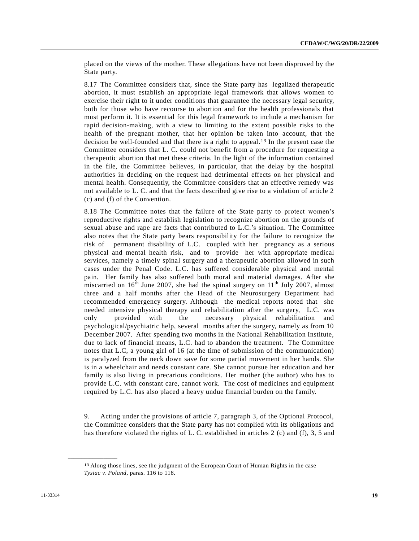placed on the views of the mother. These allegations have not been disproved by the State party.

8.17 The Committee considers that, since the State party has legalized therapeutic abortion, it must establish an appropriate legal framework that allows women to exercise their right to it under conditions that guarantee the necessary legal security, both for those who have recourse to abortion and for the health professionals that must perform it. It is essential for this legal framework to include a mechanism for rapid decision-making, with a view to limiting to the extent possible risks to the health of the pregnant mother, that her opinion be taken into account, that the decision be well-founded and that there is a right to appeal. 13 In the present case the Committee considers that L. C. could not benefit from a procedure for requesting a therapeutic abortion that met these criteria. In the light of the information contained in the file, the Committee believes, in particular, that the delay by the hospital authorities in deciding on the request had detrimental effects on her physical and mental health. Consequently, the Committee considers that an effective remedy was not available to L. C. and that the facts described give rise to a violation of article 2 (c) and (f) of the Convention.

8.18 The Committee notes that the failure of the State party to protect women's reproductive rights and establish legislation to recognize abortion on the grounds of sexual abuse and rape are facts that contributed to L.C.'s situation. The Committee also notes that the State party bears responsibility for the failure to recognize the risk of permanent disability of L.C. coupled with her pregnancy as a serious physical and mental health risk, and to provide her with appropriate medical services, namely a timely spinal surgery and a therapeutic abortion allowed in such cases under the Penal Code. L.C. has suffered considerable physical and mental pain. Her family has also suffered both moral and material damages. After she miscarried on  $16<sup>th</sup>$  June 2007, she had the spinal surgery on  $11<sup>th</sup>$  July 2007, almost three and a half months after the Head of the Neurosurgery Department had recommended emergency surgery. Although the medical reports noted that she needed intensive physical therapy and rehabilitation after the surgery, L.C. was only provided with the necessary physical rehabilitation and psychological/psychiatric help, several months after the surgery, namely as from 10 December 2007. After spending two months in the National Rehabilitation Institute, due to lack of financial means, L.C. had to abandon the treatment. The Committee notes that L.C, a young girl of 16 (at the time of submission of the communication) is paralyzed from the neck down save for some partial movement in her hands. She is in a wheelchair and needs constant care. She cannot pursue her education and her family is also living in precarious conditions. Her mother (the author) who has to provide L.C. with constant care, cannot work. The cost of medicines and equipment required by L.C. has also placed a heavy undue financial burden on the family.

9. Acting under the provisions of article 7, paragraph 3, of the Optional Protocol, the Committee considers that the State party has not complied with its obligations and has therefore violated the rights of L. C. established in articles 2 (c) and (f), 3, 5 and

<sup>13</sup> Along those lines, see the judgment of the European Court of Human Rights in the case *Tysiac v. Poland*, paras. 116 to 118.